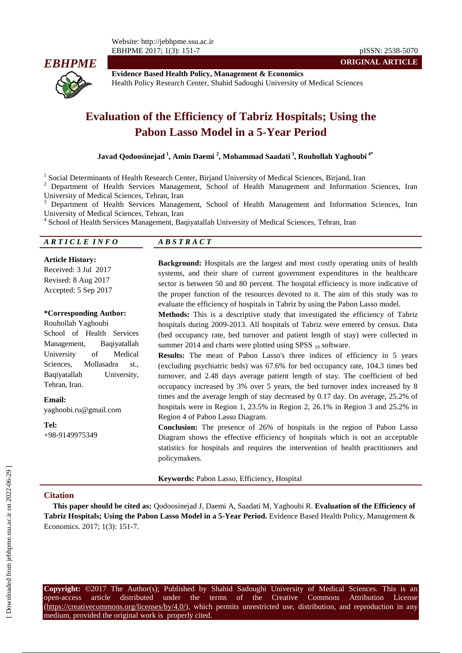

**Evidence Based Health Policy, Management & Economics** Health Policy Research Center, Shahid Sadoughi University of Medical Sciences

# **Evaluation of the Efficiency of Tabriz Hospitals; Using the Pabon Lasso Model in a 5-Year Period**

**Javad Qodoosinejad <sup>1</sup> , Amin Daemi <sup>2</sup> , Mohammad Saadati <sup>3</sup> , Rouhollah Yaghoubi 4\***

<sup>1</sup> Social Determinants of Health Research Center, Birjand University of Medical Sciences, Birjand, Iran

<sup>2</sup> Department of Health Services Management, School of Health Management and Information Sciences, Iran University of Medical Sciences, Tehran, Iran

<sup>3</sup> Department of Health Services Management, School of Health Management and Information Sciences, Iran University of Medical Sciences, Tehran, Iran

<sup>4</sup> School of Health Services Management, Baqiyatallah University of Medical Sciences, Tehran, Iran

#### *A R T I C L E I N F O A B S T R A C T*

**Article History:** Received: 3 Jul 2017 Revised: 8 Aug 2017 Accepted: 5 Sep 2017

#### **\*Corresponding Author:**

Rouhollah Yaghoubi School of Health Services Management, Baqiyatallah University of Medical Sciences, Mollasadra st., Baqiyatallah University, Tehran, Iran.

**Email:** yaghoobi.ru@gmail.com

**Tel:** +98-9149975349

**Background:** Hospitals are the largest and most costly operating units of health systems, and their share of current government expenditures in the healthcare sector is between 50 and 80 percent. The hospital efficiency is more indicative of the proper function of the resources devoted to it. The aim of this study was to evaluate the efficiency of hospitals in Tabriz by using the Pabon Lasso model.

**ORIGINAL ARTICLE**

**Methods:** This is a descriptive study that investigated the efficiency of Tabriz hospitals during 2009-2013. All hospitals of Tabriz were entered by census. Data (bed occupancy rate, bed turnover and patient length of stay) were collected in summer 2014 and charts were plotted using SPSS  $_{19}$  software.

**Results:** The mean of Pabon Lasso's three indices of efficiency in 5 years (excluding psychiatric beds) was 67.6% for bed occupancy rate, 104.3 times bed turnover, and 2.48 days average patient length of stay. The coefficient of bed occupancy increased by 3% over 5 years, the bed turnover index increased by 8 times and the average length of stay decreased by 0.17 day. On average, 25.2% of hospitals were in Region 1, 23.5% in Region 2, 26.1% in Region 3 and 25.2% in Region 4 of Pabon Lasso Diagram.

**Conclusion:** The presence of 26% of hospitals in the region of Pabon Lasso Diagram shows the effective efficiency of hospitals which is not an acceptable statistics for hospitals and requires the intervention of health practitioners and policymakers.

**Keywords:** Pabon Lasso, Efficiency, Hospital

#### **Citation**

**This paper should be cited as:** Qodoosinejad J, Daemi A, Saadati M, Yaghoubi R. **Evaluation of the Efficiency of Tabriz Hospitals; Using the Pabon Lasso Model in a 5-Year Period.** Evidence Based Health Policy, Management & Economics. 2017; 1(3): 151-7.

**Copyright:** ©2017 The Author(s); Published by Shahid Sadoughi University of Medical Sciences. This is an open-access article distributed under the terms of the Creative Commons Attribution License (https://creativecommons.org/licenses/by/4.0/), which permits unrestricted use, distribution, and reproduction in any medium, provided the original work is properly cited.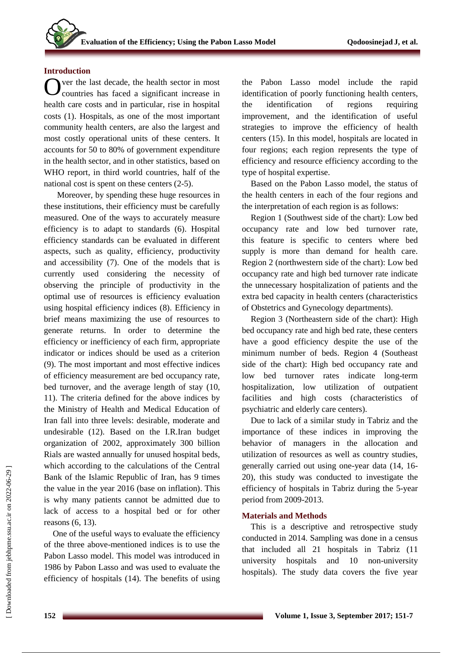### **Introduction**

ver the last decade, the health sector in most countries has faced a significant increase in health care costs and in particular, rise in hospital costs (1). Hospitals, as one of the most important community health centers, are also the largest and most costly operational units of these centers. It accounts for 50 to 80% of government expenditure in the health sector, and in other statistics, based on WHO report, in third world countries, half of the national cost is spent on these centers (2-5). O

Moreover, by spending these huge resources in these institutions, their efficiency must be carefully measured. One of the ways to accurately measure efficiency is to adapt to standards (6). Hospital efficiency standards can be evaluated in different aspects, such as quality, efficiency, productivity and accessibility (7). One of the models that is currently used considering the necessity of observing the principle of productivity in the optimal use of resources is efficiency evaluation using hospital efficiency indices (8). Efficiency in brief means maximizing the use of resources to generate returns. In order to determine the efficiency or inefficiency of each firm, appropriate indicator or indices should be used as a criterion (9). The most important and most effective indices of efficiency measurement are bed occupancy rate, bed turnover, and the average length of stay (10, 11). The criteria defined for the above indices by the Ministry of Health and Medical Education of Iran fall into three levels: desirable, moderate and undesirable (12). Based on the I.R.Iran budget organization of 2002, approximately 300 billion Rials are wasted annually for unused hospital beds, which according to the calculations of the Central Bank of the Islamic Republic of Iran, has 9 times the value in the year 2016 (base on inflation). This is why many patients cannot be admitted due to lack of access to a hospital bed or for other reasons (6, 13).

One of the useful ways to evaluate the efficiency of the three above-mentioned indices is to use the Pabon Lasso model. This model was introduced in 1986 by Pabon Lasso and was used to evaluate the efficiency of hospitals (14). The benefits of using the Pabon Lasso model include the rapid identification of poorly functioning health centers, the identification of regions requiring improvement, and the identification of useful strategies to improve the efficiency of health centers (15). In this model, hospitals are located in four regions; each region represents the type of efficiency and resource efficiency according to the type of hospital expertise.

Based on the Pabon Lasso model, the status of the health centers in each of the four regions and the interpretation of each region is as follows:

Region 1 (Southwest side of the chart): Low bed occupancy rate and low bed turnover rate, this feature is specific to centers where bed supply is more than demand for health care. Region 2 (northwestern side of the chart): Low bed occupancy rate and high bed turnover rate indicate the unnecessary hospitalization of patients and the extra bed capacity in health centers (characteristics of Obstetrics and Gynecology departments).

Region 3 (Northeastern side of the chart): High bed occupancy rate and high bed rate, these centers have a good efficiency despite the use of the minimum number of beds. Region 4 (Southeast side of the chart): High bed occupancy rate and low bed turnover rates indicate long-term hospitalization, low utilization of outpatient facilities and high costs (characteristics of psychiatric and elderly care centers).

Due to lack of a similar study in Tabriz and the importance of these indices in improving the behavior of managers in the allocation and utilization of resources as well as country studies, generally carried out using one-year data (14, 16- 20), this study was conducted to investigate the efficiency of hospitals in Tabriz during the 5-year period from 2009-2013.

### **Materials and Methods**

This is a descriptive and retrospective study conducted in 2014. Sampling was done in a census that included all 21 hospitals in Tabriz (11 university hospitals and 10 non-university hospitals). The study data covers the five year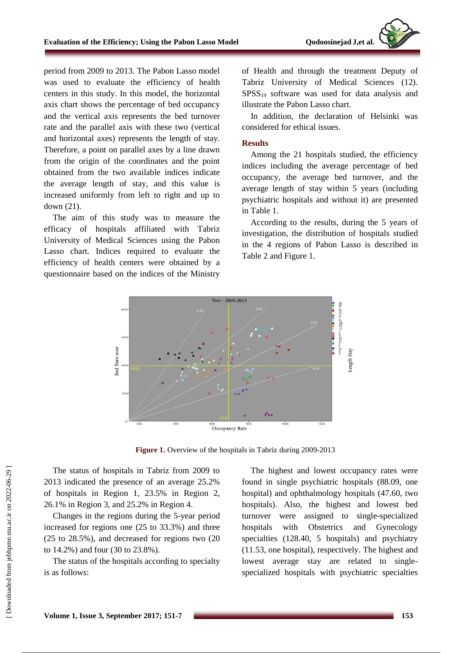period from 2009 to 2013. The Pabon Lasso model was used to evaluate the efficiency of health centers in this study. In this model, the horizontal axis chart shows the percentage of bed occupancy and the vertical axis represents the bed turnover rate and the parallel axis with these two (vertical and horizontal axes) represents the length of stay. Therefore, a point on parallel axes by a line drawn from the origin of the coordinates and the point obtained from the two available indices indicate the average length of stay, and this value is increased uniformly from left to right and up to down (21).

The aim of this study was to measure the efficacy of hospitals affiliated with Tabriz University of Medical Sciences using the Pabon Lasso chart. Indices required to evaluate the efficiency of health centers were obtained by a questionnaire based on the indices of the Ministry of Health and through the treatment Deputy of Tabriz University of Medical Sciences (12).  $SPSS_{19}$  software was used for data analysis and illustrate the Pabon Lasso chart.

In addition, the declaration of Helsinki was considered for ethical issues.

#### **Results**

Among the 21 hospitals studied, the efficiency indices including the average percentage of bed occupancy, the average bed turnover, and the average length of stay within 5 years (including psychiatric hospitals and without it) are presented in Table 1.

According to the results, during the 5 years of investigation, the distribution of hospitals studied in the 4 regions of Pabon Lasso is described in Table 2 and Figure 1.



**Figure 1.** Overview of the hospitals in Tabriz during 2009-2013

The status of hospitals in Tabriz from 2009 to 2013 indicated the presence of an average 25.2% of hospitals in Region 1, 23.5% in Region 2, 26.1% in Region 3, and 25.2% in Region 4.

Changes in the regions during the 5-year period increased for regions one (25 to 33.3%) and three (25 to 28.5%), and decreased for regions two (20 to 14.2%) and four (30 to 23.8%).

The status of the hospitals according to specialty is as follows:

The highest and lowest occupancy rates were found in single psychiatric hospitals (88.09, one hospital) and ophthalmology hospitals (47.60, two hospitals). Also, the highest and lowest bed turnover were assigned to single-specialized hospitals with Obstetrics and Gynecology specialties (128.40, 5 hospitals) and psychiatry (11.53, one hospital), respectively. The highest and lowest average stay are related to singlespecialized hospitals with psychiatric specialties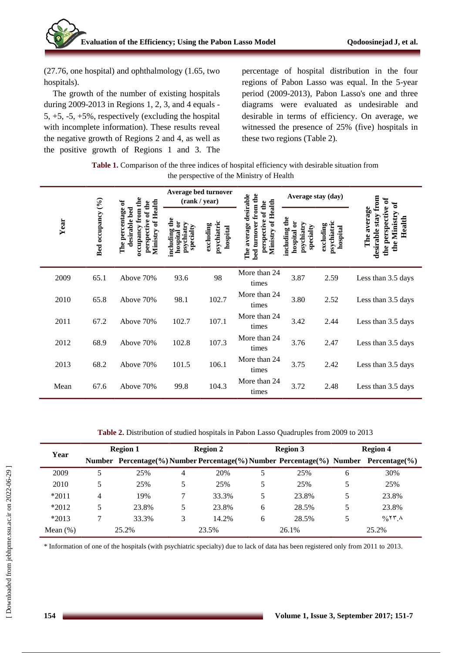(27.76, one hospital) and ophthalmology (1.65, two hospitals).

The growth of the number of existing hospitals during 2009-2013 in Regions 1, 2, 3, and 4 equals - 5,  $+5$ ,  $-5$ ,  $+5\%$ , respectively (excluding the hospital with incomplete information). These results reveal the negative growth of Regions 2 and 4, as well as the positive growth of Regions 1 and 3. The percentage of hospital distribution in the four regions of Pabon Lasso was equal. In the 5-year period (2009-2013), Pabon Lasso's one and three diagrams were evaluated as undesirable and desirable in terms of efficiency. On average, we witnessed the presence of 25% (five) hospitals in these two regions (Table 2).

**Table 1.** Comparison of the three indices of hospital efficiency with desirable situation from the perspective of the Ministry of Health

|      | Bed occupancy (%) | the<br>Health<br>ಕ<br>of the<br>The percentage<br>desirable bed<br>occupancy from<br>perspective<br>Ministry of | Average bed turnover<br>(rank / year)                                 |                                      |                                                                                                  | Average stay (day)                                                    |                                     | g<br>್                                                                      |
|------|-------------------|-----------------------------------------------------------------------------------------------------------------|-----------------------------------------------------------------------|--------------------------------------|--------------------------------------------------------------------------------------------------|-----------------------------------------------------------------------|-------------------------------------|-----------------------------------------------------------------------------|
| Year |                   |                                                                                                                 | $\mathbf{d}$<br>ä<br>psychiatry<br>specialty<br>including<br>hospital | psychiatric<br>excluding<br>hospital | bed turnover from the<br>The average desirable<br>Health<br>of the<br>perspective<br>Ministry of | $\mathbf{e}$<br>3<br>psychiatry<br>specialty<br>including<br>hospital | excluding<br>psychiatri<br>hospital | The average<br>the Ministry<br>stav<br>the perspecti<br>Health<br>desirable |
| 2009 | 65.1              | Above 70%                                                                                                       | 93.6                                                                  | 98                                   | More than 24<br>times                                                                            | 3.87                                                                  | 2.59                                | Less than 3.5 days                                                          |
| 2010 | 65.8              | Above 70%                                                                                                       | 98.1                                                                  | 102.7                                | More than 24<br>times                                                                            | 3.80                                                                  | 2.52                                | Less than 3.5 days                                                          |
| 2011 | 67.2              | Above 70%                                                                                                       | 102.7                                                                 | 107.1                                | More than 24<br>times                                                                            | 3.42                                                                  | 2.44                                | Less than 3.5 days                                                          |
| 2012 | 68.9              | Above 70%                                                                                                       | 102.8                                                                 | 107.3                                | More than 24<br>times                                                                            | 3.76                                                                  | 2.47                                | Less than 3.5 days                                                          |
| 2013 | 68.2              | Above 70%                                                                                                       | 101.5                                                                 | 106.1                                | More than 24<br>times                                                                            | 3.75                                                                  | 2.42                                | Less than 3.5 days                                                          |
| Mean | 67.6              | Above 70%                                                                                                       | 99.8                                                                  | 104.3                                | More than 24<br>times                                                                            | 3.72                                                                  | 2.48                                | Less than 3.5 days                                                          |

**Table 2.** Distribution of studied hospitals in Pabon Lasso Quadruples from 2009 to 2013

| Year        | <b>Region 1</b> |       | <b>Region 2</b> |       |   | <b>Region 3</b> |   | <b>Region 4</b>                                                                     |  |
|-------------|-----------------|-------|-----------------|-------|---|-----------------|---|-------------------------------------------------------------------------------------|--|
|             |                 |       |                 |       |   |                 |   | Number Percentage(%) Number Percentage(%) Number Percentage(%) Number Percentage(%) |  |
| 2009        | 5.              | 25%   | 4               | 20%   | 5 | 25%             | 6 | 30%                                                                                 |  |
| 2010        | 5.              | 25%   |                 | 25%   | 5 | 25%             | 5 | 25%                                                                                 |  |
| $*2011$     | 4               | 19%   |                 | 33.3% | 5 | 23.8%           | 5 | 23.8%                                                                               |  |
| $*2012$     | 5               | 23.8% | 5               | 23.8% | 6 | 28.5%           | 5 | 23.8%                                                                               |  |
| $*2013$     |                 | 33.3% | 3               | 14.2% | 6 | 28.5%           | 5 | $\%$ $\uparrow \uparrow \uparrow$                                                   |  |
| Mean $(\%)$ | 25.2%           |       |                 | 23.5% |   | 26.1%           |   | 25.2%                                                                               |  |

\* Information of one of the hospitals (with psychiatric specialty) due to lack of data has been registered only from 2011 to 2013.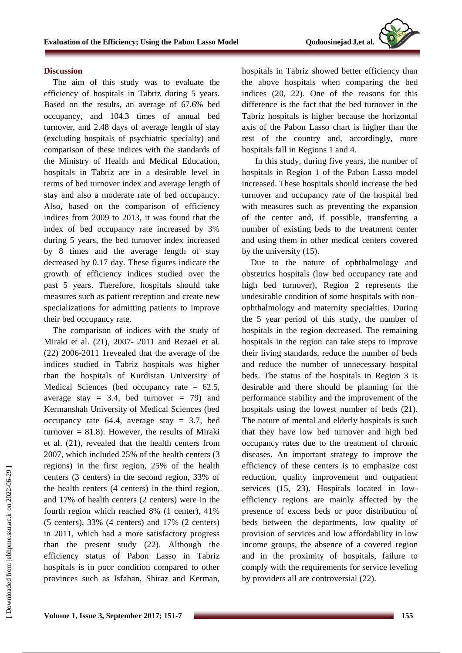#### **Discussion**

The aim of this study was to evaluate the efficiency of hospitals in Tabriz during 5 years. Based on the results, an average of 67.6% bed occupancy, and 104.3 times of annual bed turnover, and 2.48 days of average length of stay (excluding hospitals of psychiatric specialty) and comparison of these indices with the standards of the Ministry of Health and Medical Education, hospitals in Tabriz are in a desirable level in terms of bed turnover index and average length of stay and also a moderate rate of bed occupancy. Also, based on the comparison of efficiency indices from 2009 to 2013, it was found that the index of bed occupancy rate increased by 3% during 5 years, the bed turnover index increased by 8 times and the average length of stay decreased by 0.17 day. These figures indicate the growth of efficiency indices studied over the past 5 years. Therefore, hospitals should take measures such as patient reception and create new specializations for admitting patients to improve their bed occupancy rate.

The comparison of indices with the study of Miraki et al. (21), 2007- 2011 and Rezaei et al. (22) 2006-2011 1revealed that the average of the indices studied in Tabriz hospitals was higher than the hospitals of Kurdistan University of Medical Sciences (bed occupancy rate  $= 62.5$ , average stay = 3.4, bed turnover = 79) and Kermanshah University of Medical Sciences (bed occupancy rate  $64.4$ , average stay = 3.7, bed turnover  $= 81.8$ ). However, the results of Miraki et al. (21), revealed that the health centers from 2007, which included 25% of the health centers (3 regions) in the first region, 25% of the health centers (3 centers) in the second region, 33% of the health centers (4 centers) in the third region, and 17% of health centers (2 centers) were in the fourth region which reached 8% (1 center), 41% (5 centers), 33% (4 centers) and 17% (2 centers) in 2011, which had a more satisfactory progress than the present study (22). Although the efficiency status of Pabon Lasso in Tabriz hospitals is in poor condition compared to other provinces such as Isfahan, Shiraz and Kerman, hospitals in Tabriz showed better efficiency than the above hospitals when comparing the bed indices (20, 22). One of the reasons for this difference is the fact that the bed turnover in the Tabriz hospitals is higher because the horizontal axis of the Pabon Lasso chart is higher than the rest of the country and, accordingly, more hospitals fall in Regions 1 and 4.

In this study, during five years, the number of hospitals in Region 1 of the Pabon Lasso model increased. These hospitals should increase the bed turnover and occupancy rate of the hospital bed with measures such as preventing the expansion of the center and, if possible, transferring a number of existing beds to the treatment center and using them in other medical centers covered by the university (15).

Due to the nature of ophthalmology and obstetrics hospitals (low bed occupancy rate and high bed turnover), Region 2 represents the undesirable condition of some hospitals with nonophthalmology and maternity specialties. During the 5 year period of this study, the number of hospitals in the region decreased. The remaining hospitals in the region can take steps to improve their living standards, reduce the number of beds and reduce the number of unnecessary hospital beds. The status of the hospitals in Region 3 is desirable and there should be planning for the performance stability and the improvement of the hospitals using the lowest number of beds (21). The nature of mental and elderly hospitals is such that they have low bed turnover and high bed occupancy rates due to the treatment of chronic diseases. An important strategy to improve the efficiency of these centers is to emphasize cost reduction, quality improvement and outpatient services (15, 23). Hospitals located in lowefficiency regions are mainly affected by the presence of excess beds or poor distribution of beds between the departments, low quality of provision of services and low affordability in low income groups, the absence of a covered region and in the proximity of hospitals, failure to comply with the requirements for service leveling by providers all are controversial (22).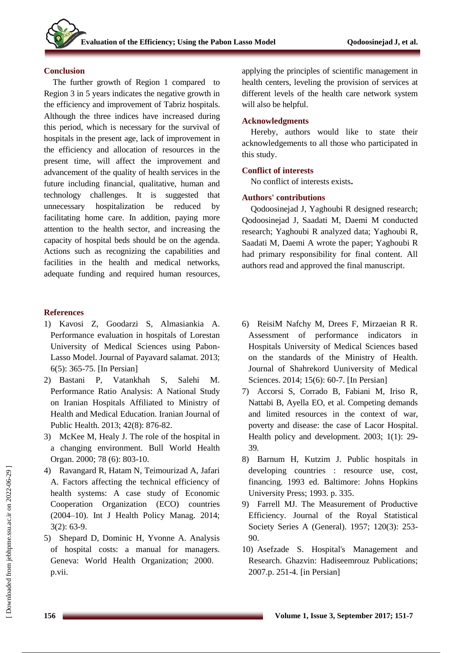## **Conclusion**

The further growth of Region 1 compared to Region 3 in 5 years indicates the negative growth in the efficiency and improvement of Tabriz hospitals. Although the three indices have increased during this period, which is necessary for the survival of hospitals in the present age, lack of improvement in the efficiency and allocation of resources in the present time, will affect the improvement and advancement of the quality of health services in the future including financial, qualitative, human and technology challenges. It is suggested that unnecessary hospitalization be reduced by facilitating home care. In addition, paying more attention to the health sector, and increasing the capacity of hospital beds should be on the agenda. Actions such as recognizing the capabilities and facilities in the health and medical networks, adequate funding and required human resources,

## **References**

- 1) Kavosi Z, Goodarzi S, Almasiankia A. Performance evaluation in hospitals of Lorestan University of Medical Sciences using Pabon-Lasso Model. Journal of Payavard salamat. 2013; 6(5): 365-75. [In Persian]
- 2) Bastani P, Vatankhah S, Salehi M. Performance Ratio Analysis: A National Study on Iranian Hospitals Affiliated to Ministry of Health and Medical Education. Iranian Journal of Public Health. 2013; 42(8): 876-82.
- 3) McKee M, Healy J. The role of the hospital in a changing environment. Bull World Health Organ. 2000; 78 (6): 803-10.
- 4) Ravangard R, Hatam N, Teimourizad A, Jafari A. Factors affecting the technical efficiency of health systems: A case study of Economic Cooperation Organization (ECO) countries (2004–10). Int J Health Policy Manag. 2014; 3(2): 63-9.
- 5) Shepard D, Dominic H, Yvonne A. Analysis of hospital costs: a manual for managers. Geneva: World Health Organization; 2000. p.vii.

applying the principles of scientific management in health centers, leveling the provision of services at different levels of the health care network system will also be helpful.

## **Acknowledgments**

Hereby, authors would like to state their acknowledgements to all those who participated in this study.

## **Conflict of interests**

No conflict of interests exists**.**

## **Authors' contributions**

Qodoosinejad J, Yaghoubi R designed research; Qodoosinejad J, Saadati M, Daemi M conducted research; Yaghoubi R analyzed data; Yaghoubi R, Saadati M, Daemi A wrote the paper; Yaghoubi R had primary responsibility for final content. All authors read and approved the final manuscript.

- 6) ReisiM Nafchy M, Drees F, Mirzaeian R R. Assessment of performance indicators in Hospitals University of Medical Sciences based on the standards of the Ministry of Health. Journal of Shahrekord Uuniversity of Medical Sciences. 2014; 15(6): 60-7. [In Persian]
- 7) Accorsi S, Corrado B, Fabiani M, Iriso R, Nattabi B, Ayella EO, et al. Competing demands and limited resources in the context of war, poverty and disease: the case of Lacor Hospital. Health policy and development. 2003; 1(1): 29- 39.
- 8) Barnum H, Kutzim J. Public hospitals in developing countries : resource use, cost, financing. 1993 ed. Baltimore: Johns Hopkins University Press; 1993. p. 335.
- 9) Farrell MJ. The Measurement of Productive Efficiency. Journal of the Royal Statistical Society Series A (General). 1957; 120(3): 253- 90.
- 10) Asefzade S. Hospital's Management and Research. Ghazvin: Hadiseemrouz Publications; 2007.p. 251-4. [in Persian]